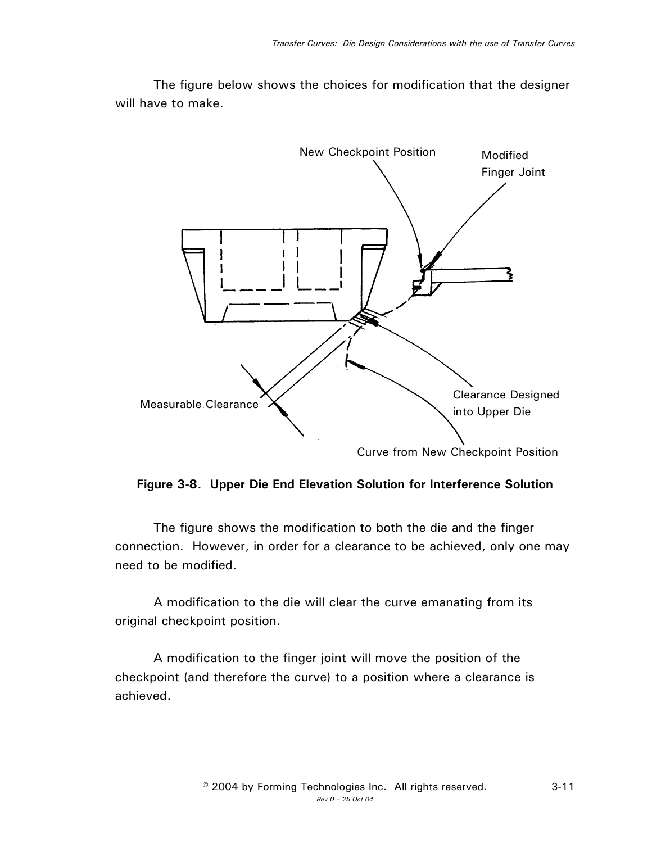The figure below shows the choices for modification that the designer will have to make.



## **Figure 3-8. Upper Die End Elevation Solution for Interference Solution**

The figure shows the modification to both the die and the finger connection. However, in order for a clearance to be achieved, only one may need to be modified.

A modification to the die will clear the curve emanating from its original checkpoint position.

A modification to the finger joint will move the position of the checkpoint (and therefore the curve) to a position where a clearance is achieved.